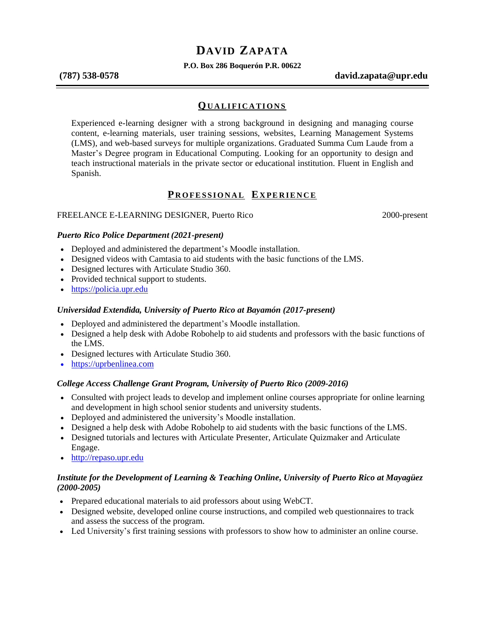# **DAVID ZAPATA**

**P.O. Box 286 Boquerón P.R. 00622**

**(787) 538-0578 david.zapata@upr.edu**

### **QU A L I F I C A T I O N S**

Experienced e-learning designer with a strong background in designing and managing course content, e-learning materials, user training sessions, websites, Learning Management Systems (LMS), and web-based surveys for multiple organizations. Graduated Summa Cum Laude from a Master's Degree program in Educational Computing. Looking for an opportunity to design and teach instructional materials in the private sector or educational institution. Fluent in English and Spanish.

# **PROFESSIONAL EXPERIENCE**

#### FREELANCE E-LEARNING DESIGNER, Puerto Rico 2000-present

#### *Puerto Rico Police Department (2021-present)*

- Deployed and administered the department's Moodle installation.
- Designed videos with Camtasia to aid students with the basic functions of the LMS.
- Designed lectures with Articulate Studio 360.
- Provided technical support to students.
- [https://policia.upr.edu](https://policia.upr.edu/)

#### *Universidad Extendida, University of Puerto Rico at Bayamón (2017-present)*

- Deployed and administered the department's Moodle installation.
- Designed a help desk with Adobe Robohelp to aid students and professors with the basic functions of the LMS.
- Designed lectures with Articulate Studio 360.
- [https://uprbenlinea.com](https://uprbenlinea.com/)

#### *College Access Challenge Grant Program, University of Puerto Rico (2009-2016)*

- Consulted with project leads to develop and implement online courses appropriate for online learning and development in high school senior students and university students.
- Deployed and administered the university's Moodle installation.
- Designed a help desk with Adobe Robohelp to aid students with the basic functions of the LMS.
- Designed tutorials and lectures with Articulate Presenter, Articulate Quizmaker and Articulate Engage.
- [http://repaso.upr.edu](http://repaso.upr.edu/)

#### *Institute for the Development of Learning & Teaching Online, University of Puerto Rico at Mayagüez (2000-2005)*

- Prepared educational materials to aid professors about using WebCT.
- Designed website, developed online course instructions, and compiled web questionnaires to track and assess the success of the program.
- Led University's first training sessions with professors to show how to administer an online course.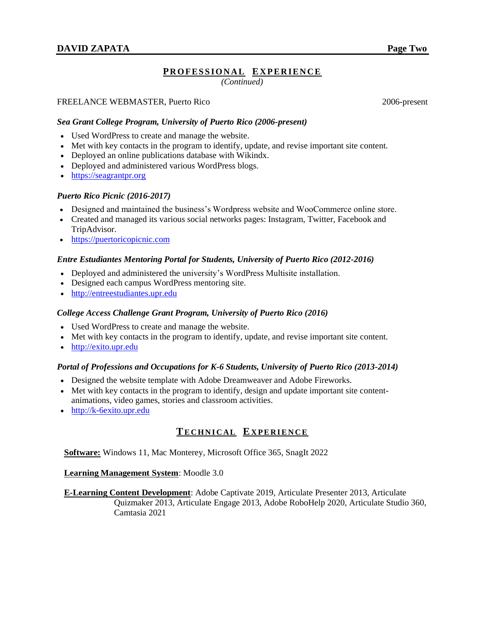# **PR O F E S S I O N A L EX P E R I E N C E**

*(Continued)*

#### FREELANCE WEBMASTER, Puerto Rico 2006-present

#### *Sea Grant College Program, University of Puerto Rico (2006-present)*

- Used WordPress to create and manage the website.
- Met with key contacts in the program to identify, update, and revise important site content.
- Deployed an online publications database with Wikindx.
- Deployed and administered various WordPress blogs.
- [https://seagrantpr.org](http://seagrantpr.org/)

#### *Puerto Rico Picnic (2016-2017)*

- Designed and maintained the business's Wordpress website and WooCommerce online store.
- Created and managed its various social networks pages: Instagram, Twitter, Facebook and TripAdvisor.
- [https://puertoricopicnic.com](http://puertoricopicnic.com/)

#### *Entre Estudiantes Mentoring Portal for Students, University of Puerto Rico (2012-2016)*

- Deployed and administered the university's WordPress Multisite installation.
- Designed each campus WordPress mentoring site.
- [http://entreestudiantes.upr.edu](http://entreestudiantes.upr.edu/)

#### *College Access Challenge Grant Program, University of Puerto Rico (2016)*

- Used WordPress to create and manage the website.
- Met with key contacts in the program to identify, update, and revise important site content.
- [http://exito.upr.edu](http://exito.upr.edu/)

#### *Portal of Professions and Occupations for K-6 Students, University of Puerto Rico (2013-2014)*

- Designed the website template with Adobe Dreamweaver and Adobe Fireworks.
- Met with key contacts in the program to identify, design and update important site contentanimations, video games, stories and classroom activities.
- [http://k-6exito.upr.edu](http://k-6exito.upr.edu/)

# **TE C H N I C A L E X P E R I E N C E**

**Software:** Windows 11, Mac Monterey, Microsoft Office 365, SnagIt 2022

**Learning Management System**: Moodle 3.0

#### **E-Learning Content Development**: Adobe Captivate 2019, Articulate Presenter 2013, Articulate

Quizmaker 2013, Articulate Engage 2013, Adobe RoboHelp 2020, Articulate Studio 360, Camtasia 2021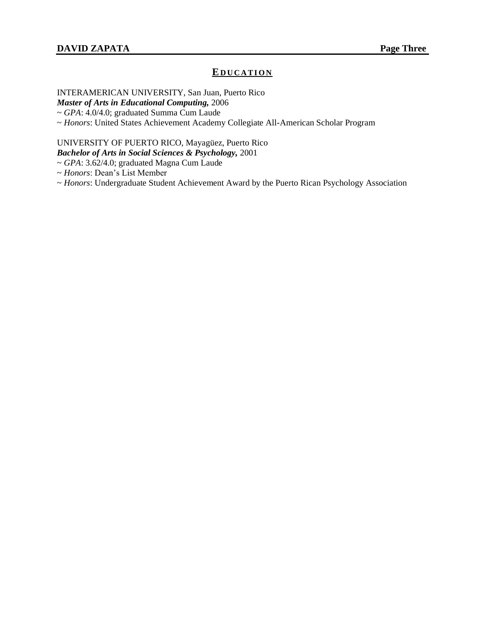# **E D U C A T I O N**

INTERAMERICAN UNIVERSITY, San Juan, Puerto Rico

*Master of Arts in Educational Computing,* 2006

~ *GPA*: 4.0/4.0; graduated Summa Cum Laude

~ *Honors*: United States Achievement Academy Collegiate All-American Scholar Program

# UNIVERSITY OF PUERTO RICO, Mayagüez, Puerto Rico

*Bachelor of Arts in Social Sciences & Psychology,* 2001

~ *GPA*: 3.62/4.0; graduated Magna Cum Laude

~ *Honors*: Dean's List Member

~ *Honors*: Undergraduate Student Achievement Award by the Puerto Rican Psychology Association